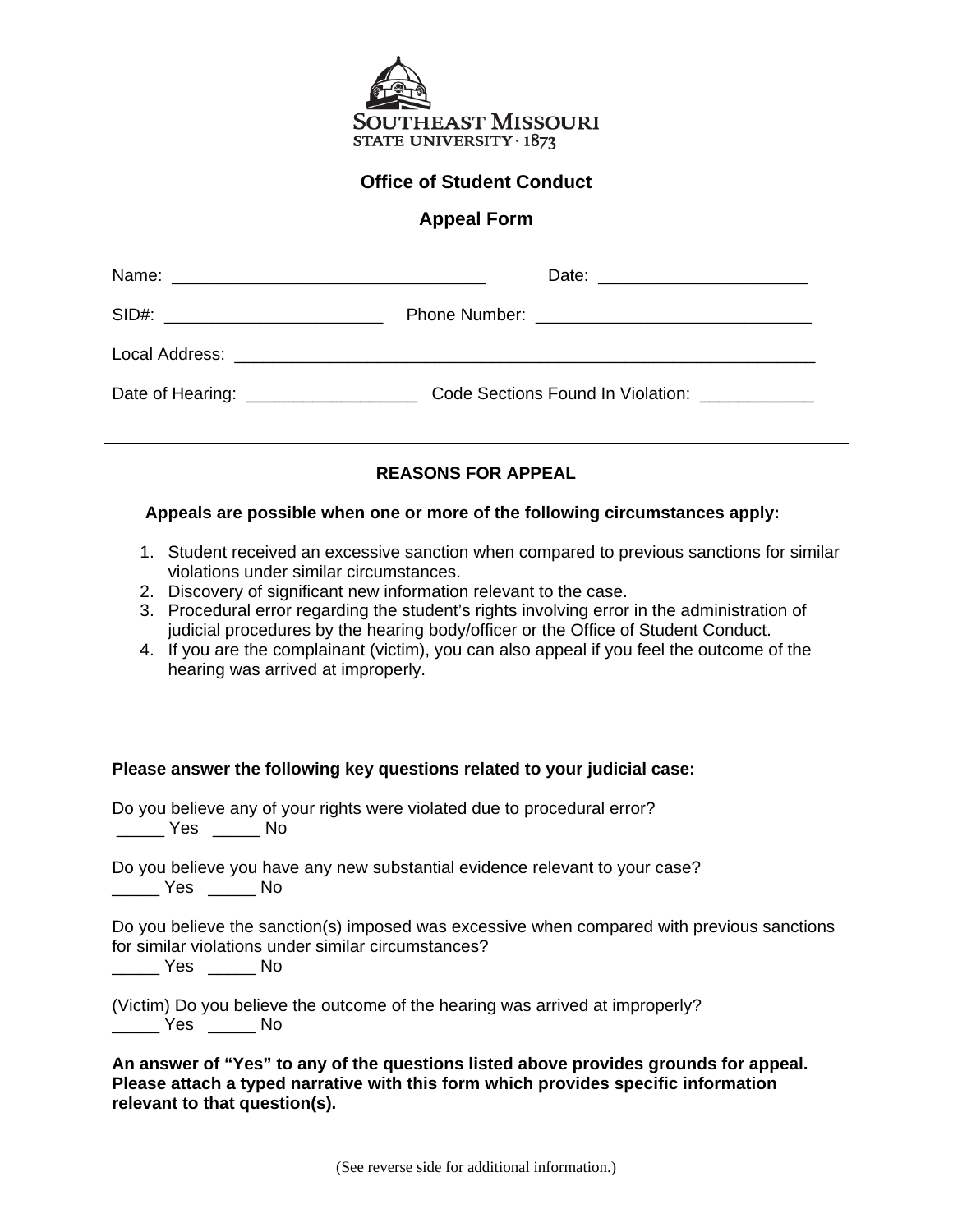

### **Office of Student Conduct**

# **Appeal Form**

| SID#: ______________________________  |                                   |
|---------------------------------------|-----------------------------------|
|                                       |                                   |
| Date of Hearing: ____________________ | Code Sections Found In Violation: |

# **REASONS FOR APPEAL**

### **Appeals are possible when one or more of the following circumstances apply:**

- 1. Student received an excessive sanction when compared to previous sanctions for similar violations under similar circumstances.
- 2. Discovery of significant new information relevant to the case.
- 3. Procedural error regarding the student's rights involving error in the administration of judicial procedures by the hearing body/officer or the Office of Student Conduct.
- 4. If you are the complainant (victim), you can also appeal if you feel the outcome of the hearing was arrived at improperly.

#### **Please answer the following key questions related to your judicial case:**

| Do you believe any of your rights were violated due to procedural error?<br>a a Mesa di No                                                                              |
|-------------------------------------------------------------------------------------------------------------------------------------------------------------------------|
| Do you believe you have any new substantial evidence relevant to your case?<br><b>Sand Stringer Stringer</b> No                                                         |
| Do you believe the sanction(s) imposed was excessive when compared with previous sanctions<br>for similar violations under similar circumstances?<br>a a the Yes are No |
| (Victim) Do you believe the outcome of the hearing was arrived at improperly?<br>Yes No                                                                                 |

**An answer of "Yes" to any of the questions listed above provides grounds for appeal. Please attach a typed narrative with this form which provides specific information relevant to that question(s).**